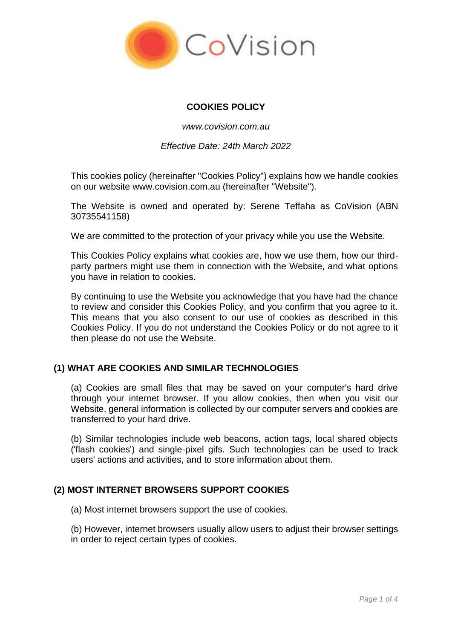

## **COOKIES POLICY**

*www.covision.com.au*

*Effective Date: 24th March 2022*

This cookies policy (hereinafter "Cookies Policy") explains how we handle cookies on our website www.covision.com.au (hereinafter "Website").

The Website is owned and operated by: Serene Teffaha as CoVision (ABN 30735541158)

We are committed to the protection of your privacy while you use the Website.

This Cookies Policy explains what cookies are, how we use them, how our thirdparty partners might use them in connection with the Website, and what options you have in relation to cookies.

By continuing to use the Website you acknowledge that you have had the chance to review and consider this Cookies Policy, and you confirm that you agree to it. This means that you also consent to our use of cookies as described in this Cookies Policy. If you do not understand the Cookies Policy or do not agree to it then please do not use the Website.

# **(1) WHAT ARE COOKIES AND SIMILAR TECHNOLOGIES**

(a) Cookies are small files that may be saved on your computer's hard drive through your internet browser. If you allow cookies, then when you visit our Website, general information is collected by our computer servers and cookies are transferred to your hard drive.

(b) Similar technologies include web beacons, action tags, local shared objects ('flash cookies') and single-pixel gifs. Such technologies can be used to track users' actions and activities, and to store information about them.

#### **(2) MOST INTERNET BROWSERS SUPPORT COOKIES**

(a) Most internet browsers support the use of cookies.

(b) However, internet browsers usually allow users to adjust their browser settings in order to reject certain types of cookies.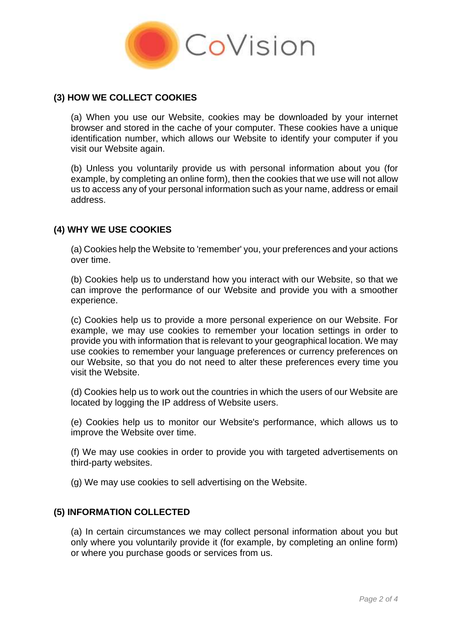

## **(3) HOW WE COLLECT COOKIES**

(a) When you use our Website, cookies may be downloaded by your internet browser and stored in the cache of your computer. These cookies have a unique identification number, which allows our Website to identify your computer if you visit our Website again.

(b) Unless you voluntarily provide us with personal information about you (for example, by completing an online form), then the cookies that we use will not allow us to access any of your personal information such as your name, address or email address.

## **(4) WHY WE USE COOKIES**

(a) Cookies help the Website to 'remember' you, your preferences and your actions over time.

(b) Cookies help us to understand how you interact with our Website, so that we can improve the performance of our Website and provide you with a smoother experience.

(c) Cookies help us to provide a more personal experience on our Website. For example, we may use cookies to remember your location settings in order to provide you with information that is relevant to your geographical location. We may use cookies to remember your language preferences or currency preferences on our Website, so that you do not need to alter these preferences every time you visit the Website.

(d) Cookies help us to work out the countries in which the users of our Website are located by logging the IP address of Website users.

(e) Cookies help us to monitor our Website's performance, which allows us to improve the Website over time.

(f) We may use cookies in order to provide you with targeted advertisements on third-party websites.

(g) We may use cookies to sell advertising on the Website.

#### **(5) INFORMATION COLLECTED**

(a) In certain circumstances we may collect personal information about you but only where you voluntarily provide it (for example, by completing an online form) or where you purchase goods or services from us.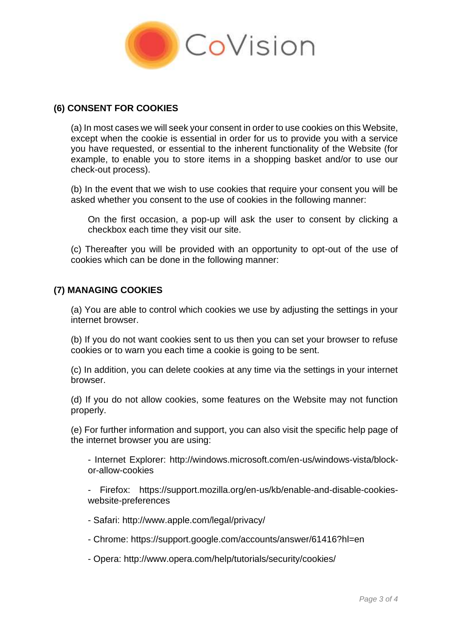

#### **(6) CONSENT FOR COOKIES**

(a) In most cases we will seek your consent in order to use cookies on this Website, except when the cookie is essential in order for us to provide you with a service you have requested, or essential to the inherent functionality of the Website (for example, to enable you to store items in a shopping basket and/or to use our check-out process).

(b) In the event that we wish to use cookies that require your consent you will be asked whether you consent to the use of cookies in the following manner:

On the first occasion, a pop-up will ask the user to consent by clicking a checkbox each time they visit our site.

(c) Thereafter you will be provided with an opportunity to opt-out of the use of cookies which can be done in the following manner:

## **(7) MANAGING COOKIES**

(a) You are able to control which cookies we use by adjusting the settings in your internet browser.

(b) If you do not want cookies sent to us then you can set your browser to refuse cookies or to warn you each time a cookie is going to be sent.

(c) In addition, you can delete cookies at any time via the settings in your internet browser.

(d) If you do not allow cookies, some features on the Website may not function properly.

(e) For further information and support, you can also visit the specific help page of the internet browser you are using:

- Internet Explorer: http://windows.microsoft.com/en-us/windows-vista/blockor-allow-cookies

- Firefox: https://support.mozilla.org/en-us/kb/enable-and-disable-cookieswebsite-preferences

- Safari: http://www.apple.com/legal/privacy/
- Chrome: https://support.google.com/accounts/answer/61416?hl=en
- Opera: http://www.opera.com/help/tutorials/security/cookies/